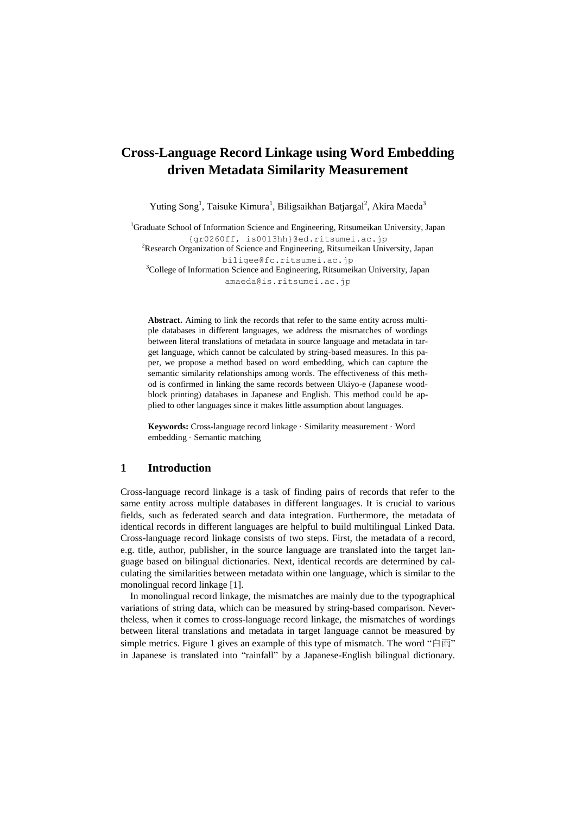# **Cross-Language Record Linkage using Word Embedding driven Metadata Similarity Measurement**

Yuting Song<sup>1</sup>, Taisuke Kimura<sup>1</sup>, Biligsaikhan Batjargal<sup>2</sup>, Akira Maeda<sup>3</sup>

<sup>1</sup>Graduate School of Information Science and Engineering, Ritsumeikan University, Japan {gr0260ff, is0013hh}@ed.ritsumei.ac.jp <sup>2</sup>Research Organization of Science and Engineering, Ritsumeikan University, Japan biligee@fc.ritsumei.ac.jp <sup>3</sup>College of Information Science and Engineering, Ritsumeikan University, Japan

[amaeda@is.ritsumei.ac.jp](mailto:amaeda@is.ritsumei.ac.jp)

**Abstract.** Aiming to link the records that refer to the same entity across multiple databases in different languages, we address the mismatches of wordings between literal translations of metadata in source language and metadata in target language, which cannot be calculated by string-based measures. In this paper, we propose a method based on word embedding, which can capture the semantic similarity relationships among words. The effectiveness of this method is confirmed in linking the same records between Ukiyo-e (Japanese woodblock printing) databases in Japanese and English. This method could be applied to other languages since it makes little assumption about languages.

**Keywords:** Cross-language record linkage ·Similarity measurement ·Word embedding ·Semantic matching

# **1 Introduction**

Cross-language record linkage is a task of finding pairs of records that refer to the same entity across multiple databases in different languages. It is crucial to various fields, such as federated search and data integration. Furthermore, the metadata of identical records in different languages are helpful to build multilingual Linked Data. Cross-language record linkage consists of two steps. First, the metadata of a record, e.g. title, author, publisher, in the source language are translated into the target language based on bilingual dictionaries. Next, identical records are determined by calculating the similarities between metadata within one language, which is similar to the monolingual record linkage [1].

In monolingual record linkage, the mismatches are mainly due to the typographical variations of string data, which can be measured by string-based comparison. Nevertheless, when it comes to cross-language record linkage, the mismatches of wordings between literal translations and metadata in target language cannot be measured by simple metrics. Figure 1 gives an example of this type of mismatch. The word " $\oplus$   $\overline{\uppi}$ " in Japanese is translated into "rainfall" by a Japanese-English bilingual dictionary.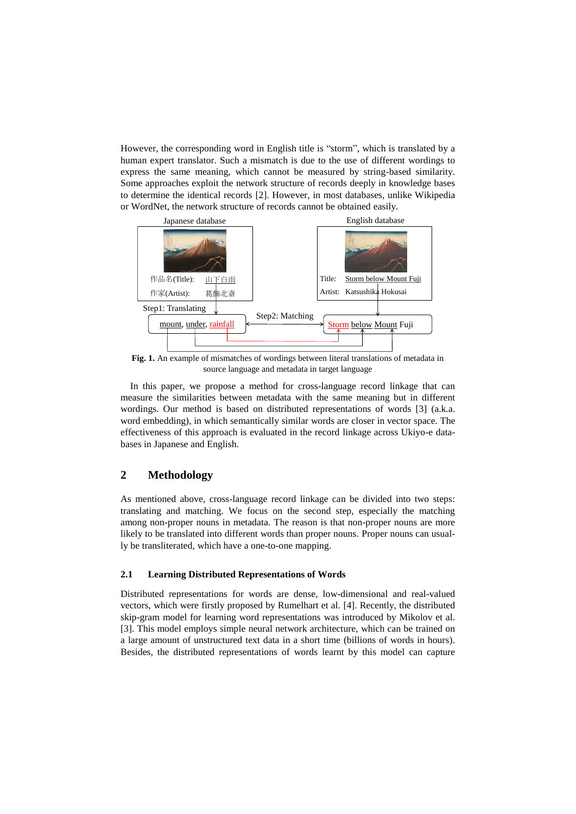However, the corresponding word in English title is "storm", which is translated by a human expert translator. Such a mismatch is due to the use of different wordings to express the same meaning, which cannot be measured by string-based similarity. Some approaches exploit the network structure of records deeply in knowledge bases to determine the identical records [2]. However, in most databases, unlike Wikipedia or WordNet, the network structure of records cannot be obtained easily.



**Fig. 1.** An example of mismatches of wordings between literal translations of metadata in source language and metadata in target language

In this paper, we propose a method for cross-language record linkage that can measure the similarities between metadata with the same meaning but in different wordings. Our method is based on distributed representations of words [3] (a.k.a. word embedding), in which semantically similar words are closer in vector space. The effectiveness of this approach is evaluated in the record linkage across Ukiyo-e databases in Japanese and English.

# **2 Methodology**

As mentioned above, cross-language record linkage can be divided into two steps: translating and matching. We focus on the second step, especially the matching among non-proper nouns in metadata. The reason is that non-proper nouns are more likely to be translated into different words than proper nouns. Proper nouns can usually be transliterated, which have a one-to-one mapping.

#### **2.1 Learning Distributed Representations of Words**

Distributed representations for words are dense, low-dimensional and real-valued vectors, which were firstly proposed by Rumelhart et al. [4]. Recently, the distributed skip-gram model for learning word representations was introduced by Mikolov et al. [3]. This model employs simple neural network architecture, which can be trained on a large amount of unstructured text data in a short time (billions of words in hours). Besides, the distributed representations of words learnt by this model can capture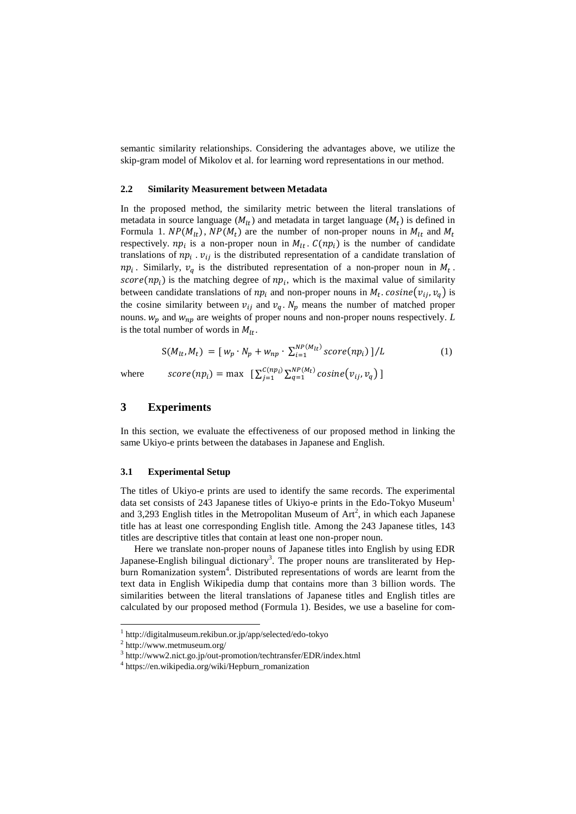semantic similarity relationships. Considering the advantages above, we utilize the skip-gram model of Mikolov et al. for learning word representations in our method.

#### **2.2 Similarity Measurement between Metadata**

In the proposed method, the similarity metric between the literal translations of metadata in source language  $(M_{lt})$  and metadata in target language  $(M_t)$  is defined in Formula 1.  $NP(M_{lt})$ ,  $NP(M_t)$  are the number of non-proper nouns in  $M_{lt}$  and  $M_t$ respectively.  $np_i$  is a non-proper noun in  $M_{lt}$ .  $C(np_i)$  is the number of candidate translations of  $np_i$ .  $v_{ij}$  is the distributed representation of a candidate translation of  $np_i$ . Similarly,  $v_q$  is the distributed representation of a non-proper noun in  $M_t$ . score( $np_i$ ) is the matching degree of  $np_i$ , which is the maximal value of similarity between candidate translations of  $np_i$  and non-proper nouns in  $M_t$ .  $cosine(v_{ij}, v_q)$  is the cosine similarity between  $v_{ij}$  and  $v_a$ .  $N_p$  means the number of matched proper nouns.  $w_p$  and  $w_{np}$  are weights of proper nouns and non-proper nouns respectively. *L* is the total number of words in  $M_{1t}$ .

$$
S(M_{lt}, M_t) = [w_p \cdot N_p + w_{np} \cdot \sum_{i=1}^{NP(M_{lt})} score(np_i)]/L
$$
\n
$$
sore(np_i) = \max \left[ \sum_{j=1}^{C(np_i)} \sum_{q=1}^{NP(M_t)} cosine(v_{ij}, v_q) \right]
$$
\n(1)

where

# **3 Experiments**

In this section, we evaluate the effectiveness of our proposed method in linking the same Ukiyo-e prints between the databases in Japanese and English.

### **3.1 Experimental Setup**

The titles of Ukiyo-e prints are used to identify the same records. The experimental data set consists of 243 Japanese titles of Ukiyo-e prints in the Edo-Tokyo Museum<sup>1</sup> and 3,293 English titles in the Metropolitan Museum of  $Art^2$ , in which each Japanese title has at least one corresponding English title. Among the 243 Japanese titles, 143 titles are descriptive titles that contain at least one non-proper noun.

Here we translate non-proper nouns of Japanese titles into English by using EDR Japanese-English bilingual dictionary<sup>3</sup>. The proper nouns are transliterated by Hepburn Romanization system<sup>4</sup>. Distributed representations of words are learnt from the text data in English Wikipedia dump that contains more than 3 billion words. The similarities between the literal translations of Japanese titles and English titles are calculated by our proposed method (Formula 1). Besides, we use a baseline for com-

 $\overline{a}$ 

<sup>1</sup> http://digitalmuseum.rekibun.or.jp/app/selected/edo-tokyo

<sup>2</sup> http://www.metmuseum.org/

<sup>&</sup>lt;sup>3</sup> <http://www2.nict.go.jp/out-promotion/techtransfer/EDR/index.html>

<sup>4</sup> [https://en.wikipedia.org/wiki/Hepburn\\_romanization](https://en.wikipedia.org/wiki/Hepburn_romanization)